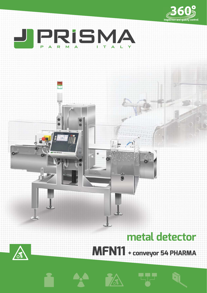



# **metal detector**



**MFN11 + conveyor 54 PHARMA**